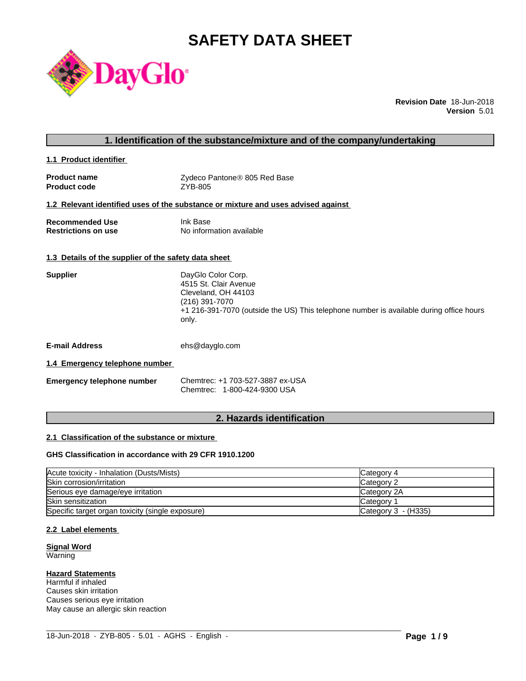# **SAFETY DATA SHEET**



**Revision Date** 18-Jun-2018 **Version** 5.01

# **1. Identification of the substance/mixture and of the company/undertaking**

**1.1 Product identifier** 

| <b>Product name</b> | Zydeco Pantone® 805 Red Base |
|---------------------|------------------------------|
| <b>Product code</b> | ZYB-805                      |

#### **1.2 Relevant identified uses of the substance or mixture and uses advised against**

| <b>Recommended Use</b>     | Ink Base                 |
|----------------------------|--------------------------|
| <b>Restrictions on use</b> | No information available |

#### **1.3 Details of the supplier of the safety data sheet**

| <b>Supplier</b> | DayGlo Color Corp.<br>4515 St. Clair Avenue<br>Cleveland, OH 44103<br>(216) 391-7070<br>+1 216-391-7070 (outside the US) This telephone number is available during office hours<br>only. |
|-----------------|------------------------------------------------------------------------------------------------------------------------------------------------------------------------------------------|
|                 |                                                                                                                                                                                          |

**E-mail Address** ehs@dayglo.com

#### **1.4 Emergency telephone number**

| <b>Emergency telephone number</b> | Chemtrec: +1 703-527-3887 ex-USA |
|-----------------------------------|----------------------------------|
|                                   | Chemtrec: 1-800-424-9300 USA     |

# **2. Hazards identification**

#### **2.1 Classification of the substance or mixture**

#### **GHS Classification in accordance with 29 CFR 1910.1200**

| Acute toxicity - Inhalation (Dusts/Mists)        | Category 4            |
|--------------------------------------------------|-----------------------|
| Skin corrosion/irritation                        | Category 2            |
| Serious eye damage/eye irritation                | Category 2A           |
| Skin sensitization                               | <b>Category</b>       |
| Specific target organ toxicity (single exposure) | Category $3 - (H335)$ |

 $\_$  ,  $\_$  ,  $\_$  ,  $\_$  ,  $\_$  ,  $\_$  ,  $\_$  ,  $\_$  ,  $\_$  ,  $\_$  ,  $\_$  ,  $\_$  ,  $\_$  ,  $\_$  ,  $\_$  ,  $\_$  ,  $\_$  ,  $\_$  ,  $\_$  ,  $\_$  ,  $\_$  ,  $\_$  ,  $\_$  ,  $\_$  ,  $\_$  ,  $\_$  ,  $\_$  ,  $\_$  ,  $\_$  ,  $\_$  ,  $\_$  ,  $\_$  ,  $\_$  ,  $\_$  ,  $\_$  ,  $\_$  ,  $\_$  ,

#### **2.2 Label elements**

#### **Signal Word** Warning

#### **Hazard Statements**

Harmful if inhaled Causes skin irritation Causes serious eye irritation May cause an allergic skin reaction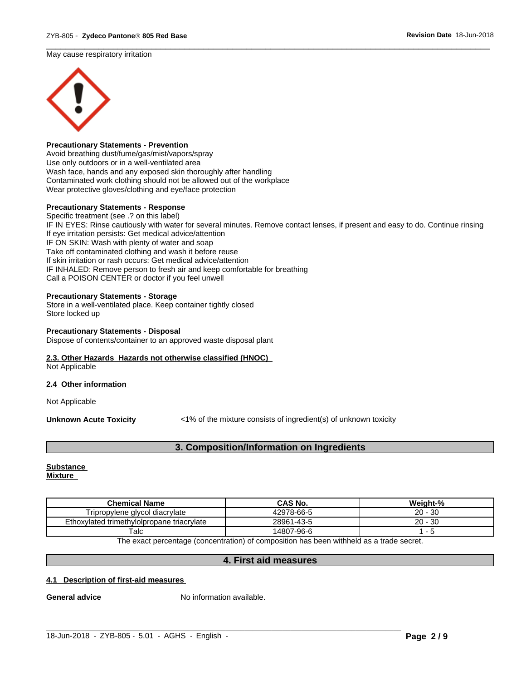May cause respiratory irritation



#### **Precautionary Statements - Prevention**

Avoid breathing dust/fume/gas/mist/vapors/spray Use only outdoors or in a well-ventilated area Wash face, hands and any exposed skin thoroughly after handling Contaminated work clothing should not be allowed out of the workplace Wear protective gloves/clothing and eye/face protection

#### **Precautionary Statements - Response**

Specific treatment (see .? on this label) IF IN EYES: Rinse cautiously with water for several minutes. Remove contact lenses, if present and easy to do. Continue rinsing If eye irritation persists: Get medical advice/attention IF ON SKIN: Wash with plenty of water and soap Take off contaminated clothing and wash it before reuse If skin irritation or rash occurs: Get medical advice/attention IF INHALED: Remove person to fresh air and keep comfortable for breathing Call a POISON CENTER or doctor if you feel unwell

 $\overline{\phantom{a}}$  ,  $\overline{\phantom{a}}$  ,  $\overline{\phantom{a}}$  ,  $\overline{\phantom{a}}$  ,  $\overline{\phantom{a}}$  ,  $\overline{\phantom{a}}$  ,  $\overline{\phantom{a}}$  ,  $\overline{\phantom{a}}$  ,  $\overline{\phantom{a}}$  ,  $\overline{\phantom{a}}$  ,  $\overline{\phantom{a}}$  ,  $\overline{\phantom{a}}$  ,  $\overline{\phantom{a}}$  ,  $\overline{\phantom{a}}$  ,  $\overline{\phantom{a}}$  ,  $\overline{\phantom{a}}$ 

#### **Precautionary Statements - Storage**

Store in a well-ventilated place. Keep container tightly closed Store locked up

#### **Precautionary Statements - Disposal**

Dispose of contents/container to an approved waste disposal plant

### **2.3. Other Hazards Hazards not otherwise classified (HNOC)**

Not Applicable

#### **2.4 Other information**

Not Applicable

**Unknown Acute Toxicity** <1% of the mixture consists of ingredient(s) of unknown toxicity

#### **3. Composition/Information on Ingredients**

#### **Substance Mixture**

| <b>Chemical Name</b>                       | CAS No.    | Weight-%      |
|--------------------------------------------|------------|---------------|
| Tripropylene glycol diacrylate             | 42978-66-5 | $20 -$<br>-30 |
| Ethoxylated trimethylolpropane triacrylate | 28961-43-5 | 30<br>20 -    |
| $\tau$ alc                                 | 14807-96-6 |               |

The exact percentage (concentration) of composition has been withheld as a trade secret.

#### **4. First aid measures**

 $\_$  ,  $\_$  ,  $\_$  ,  $\_$  ,  $\_$  ,  $\_$  ,  $\_$  ,  $\_$  ,  $\_$  ,  $\_$  ,  $\_$  ,  $\_$  ,  $\_$  ,  $\_$  ,  $\_$  ,  $\_$  ,  $\_$  ,  $\_$  ,  $\_$  ,  $\_$  ,  $\_$  ,  $\_$  ,  $\_$  ,  $\_$  ,  $\_$  ,  $\_$  ,  $\_$  ,  $\_$  ,  $\_$  ,  $\_$  ,  $\_$  ,  $\_$  ,  $\_$  ,  $\_$  ,  $\_$  ,  $\_$  ,  $\_$  ,

#### **4.1 Description of first-aid measures**

**General advice** No information available.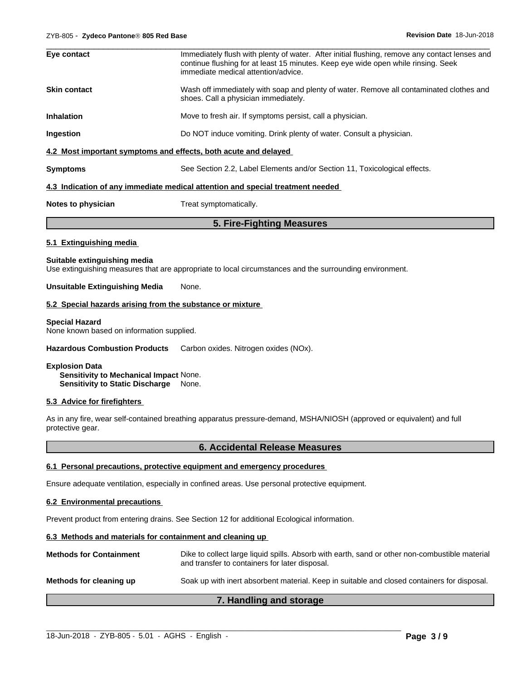| Eye contact         | Immediately flush with plenty of water. After initial flushing, remove any contact lenses and<br>continue flushing for at least 15 minutes. Keep eye wide open while rinsing. Seek<br>immediate medical attention/advice. |
|---------------------|---------------------------------------------------------------------------------------------------------------------------------------------------------------------------------------------------------------------------|
| <b>Skin contact</b> | Wash off immediately with soap and plenty of water. Remove all contaminated clothes and<br>shoes. Call a physician immediately.                                                                                           |
| <b>Inhalation</b>   | Move to fresh air. If symptoms persist, call a physician.                                                                                                                                                                 |
| Ingestion           | Do NOT induce vomiting. Drink plenty of water. Consult a physician.                                                                                                                                                       |
|                     | 4.2 Most important symptoms and effects, both acute and delayed                                                                                                                                                           |
| <b>Symptoms</b>     | See Section 2.2, Label Elements and/or Section 11, Toxicological effects.                                                                                                                                                 |
|                     | 4.3 Indication of any immediate medical attention and special treatment needed                                                                                                                                            |
| Notes to physician  | Treat symptomatically.                                                                                                                                                                                                    |
|                     |                                                                                                                                                                                                                           |

# **5. Fire-Fighting Measures**

#### **5.1 Extinguishing media**

#### **Suitable extinguishing media**

Use extinguishing measures that are appropriate to local circumstances and the surrounding environment.

#### **Unsuitable Extinguishing Media** None.

#### **5.2 Special hazards arising from the substance or mixture**

#### **Special Hazard**

None known based on information supplied.

#### **Hazardous Combustion Products** Carbon oxides. Nitrogen oxides (NOx).

#### **Explosion Data**

**Sensitivity to Mechanical Impact** None. **Sensitivity to Static Discharge** None.

#### **5.3 Advice for firefighters**

As in any fire, wear self-contained breathing apparatus pressure-demand, MSHA/NIOSH (approved or equivalent) and full protective gear.

#### **6. Accidental Release Measures**

#### **6.1 Personal precautions, protective equipment and emergency procedures**

Ensure adequate ventilation, especially in confined areas. Use personal protective equipment.

#### **6.2 Environmental precautions**

Prevent product from entering drains. See Section 12 for additional Ecological information.

#### **6.3 Methods and materials for containment and cleaning up**

| <b>Methods for Containment</b> | Dike to collect large liquid spills. Absorb with earth, sand or other non-combustible material<br>and transfer to containers for later disposal. |  |  |  |
|--------------------------------|--------------------------------------------------------------------------------------------------------------------------------------------------|--|--|--|
| Methods for cleaning up        | Soak up with inert absorbent material. Keep in suitable and closed containers for disposal.                                                      |  |  |  |

### **7. Handling and storage**

 $\_$  ,  $\_$  ,  $\_$  ,  $\_$  ,  $\_$  ,  $\_$  ,  $\_$  ,  $\_$  ,  $\_$  ,  $\_$  ,  $\_$  ,  $\_$  ,  $\_$  ,  $\_$  ,  $\_$  ,  $\_$  ,  $\_$  ,  $\_$  ,  $\_$  ,  $\_$  ,  $\_$  ,  $\_$  ,  $\_$  ,  $\_$  ,  $\_$  ,  $\_$  ,  $\_$  ,  $\_$  ,  $\_$  ,  $\_$  ,  $\_$  ,  $\_$  ,  $\_$  ,  $\_$  ,  $\_$  ,  $\_$  ,  $\_$  ,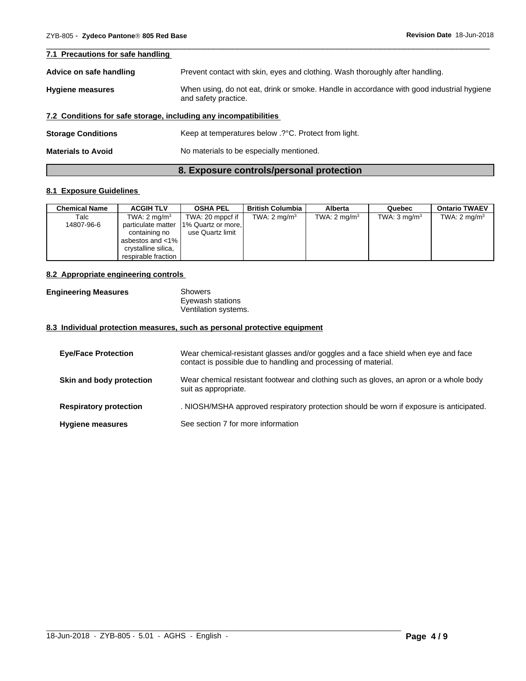| 7.1 Precautions for safe handling                                                                                                            |                                                                               |
|----------------------------------------------------------------------------------------------------------------------------------------------|-------------------------------------------------------------------------------|
| Advice on safe handling                                                                                                                      | Prevent contact with skin, eyes and clothing. Wash thoroughly after handling. |
| When using, do not eat, drink or smoke. Handle in accordance with good industrial hygiene<br><b>Hygiene measures</b><br>and safety practice. |                                                                               |
|                                                                                                                                              | 7.2 Conditions for safe storage, including any incompatibilities              |
| <b>Storage Conditions</b>                                                                                                                    | Keep at temperatures below .? °C. Protect from light.                         |
| <b>Materials to Avoid</b>                                                                                                                    | No materials to be especially mentioned.                                      |

 $\overline{\phantom{a}}$  ,  $\overline{\phantom{a}}$  ,  $\overline{\phantom{a}}$  ,  $\overline{\phantom{a}}$  ,  $\overline{\phantom{a}}$  ,  $\overline{\phantom{a}}$  ,  $\overline{\phantom{a}}$  ,  $\overline{\phantom{a}}$  ,  $\overline{\phantom{a}}$  ,  $\overline{\phantom{a}}$  ,  $\overline{\phantom{a}}$  ,  $\overline{\phantom{a}}$  ,  $\overline{\phantom{a}}$  ,  $\overline{\phantom{a}}$  ,  $\overline{\phantom{a}}$  ,  $\overline{\phantom{a}}$ 

# **8. Exposure controls/personal protection**

#### **8.1 Exposure Guidelines**

| <b>Chemical Name</b> | <b>ACGIH TLV</b>    | <b>OSHA PEL</b>          | <b>British Columbia</b> | <b>Alberta</b>          | Quebec                  | <b>Ontario TWAEV</b>    |
|----------------------|---------------------|--------------------------|-------------------------|-------------------------|-------------------------|-------------------------|
| Talc                 | TWA: 2 mg/m $3$     | TWA: 20 mppcf if $\vert$ | TWA: $2 \text{ mg/m}^3$ | TWA: $2 \text{ mg/m}^3$ | TWA: $3 \text{ mq/m}^3$ | TWA: $2 \text{ mg/m}^3$ |
| 14807-96-6           | particulate matter  | 1% Quartz or more,       |                         |                         |                         |                         |
|                      | containing no       | use Quartz limit         |                         |                         |                         |                         |
|                      | asbestos and $<$ 1% |                          |                         |                         |                         |                         |
|                      | crystalline silica. |                          |                         |                         |                         |                         |
|                      | respirable fraction |                          |                         |                         |                         |                         |

#### **8.2 Appropriate engineering controls**

| <b>Engineering Measures</b> | Showers              |  |
|-----------------------------|----------------------|--|
|                             | Eyewash stations     |  |
|                             | Ventilation systems. |  |

#### **8.3 Individual protection measures, such as personal protective equipment**

| <b>Eye/Face Protection</b>    | Wear chemical-resistant glasses and/or goggles and a face shield when eye and face<br>contact is possible due to handling and processing of material. |
|-------------------------------|-------------------------------------------------------------------------------------------------------------------------------------------------------|
| Skin and body protection      | Wear chemical resistant footwear and clothing such as gloves, an apron or a whole body<br>suit as appropriate.                                        |
| <b>Respiratory protection</b> | . NIOSH/MSHA approved respiratory protection should be worn if exposure is anticipated.                                                               |
| <b>Hygiene measures</b>       | See section 7 for more information                                                                                                                    |

 $\_$  ,  $\_$  ,  $\_$  ,  $\_$  ,  $\_$  ,  $\_$  ,  $\_$  ,  $\_$  ,  $\_$  ,  $\_$  ,  $\_$  ,  $\_$  ,  $\_$  ,  $\_$  ,  $\_$  ,  $\_$  ,  $\_$  ,  $\_$  ,  $\_$  ,  $\_$  ,  $\_$  ,  $\_$  ,  $\_$  ,  $\_$  ,  $\_$  ,  $\_$  ,  $\_$  ,  $\_$  ,  $\_$  ,  $\_$  ,  $\_$  ,  $\_$  ,  $\_$  ,  $\_$  ,  $\_$  ,  $\_$  ,  $\_$  ,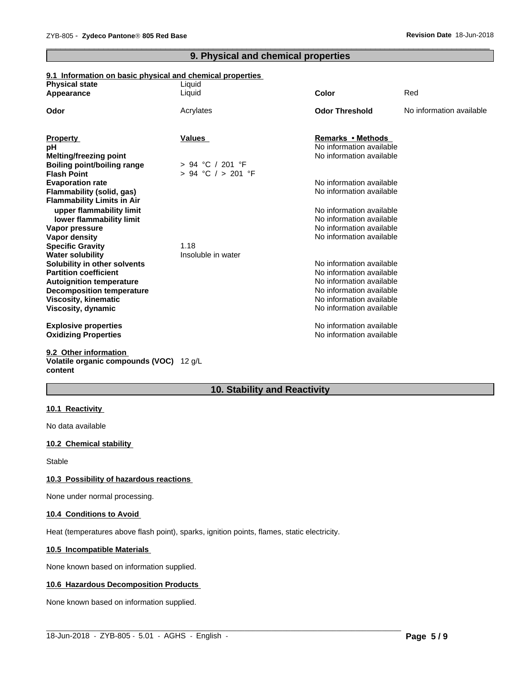# **9. Physical and chemical properties**

 $\overline{\phantom{a}}$  ,  $\overline{\phantom{a}}$  ,  $\overline{\phantom{a}}$  ,  $\overline{\phantom{a}}$  ,  $\overline{\phantom{a}}$  ,  $\overline{\phantom{a}}$  ,  $\overline{\phantom{a}}$  ,  $\overline{\phantom{a}}$  ,  $\overline{\phantom{a}}$  ,  $\overline{\phantom{a}}$  ,  $\overline{\phantom{a}}$  ,  $\overline{\phantom{a}}$  ,  $\overline{\phantom{a}}$  ,  $\overline{\phantom{a}}$  ,  $\overline{\phantom{a}}$  ,  $\overline{\phantom{a}}$ 

### **9.1 Information on basic physical and chemical properties**

| <b>Physical state</b>              | Liquid                 |                          |                          |
|------------------------------------|------------------------|--------------------------|--------------------------|
| Appearance                         | Liquid                 | <b>Color</b>             | Red                      |
| Odor                               | Acrylates              | <b>Odor Threshold</b>    | No information available |
|                                    |                        |                          |                          |
| <b>Property</b>                    | <b>Values</b>          | Remarks • Methods        |                          |
| pH                                 |                        | No information available |                          |
| <b>Melting/freezing point</b>      |                        | No information available |                          |
| <b>Boiling point/boiling range</b> | $> 94$ °C / 201 °F     |                          |                          |
| <b>Flash Point</b>                 | $> 94$ °C $/ > 201$ °F |                          |                          |
| <b>Evaporation rate</b>            |                        | No information available |                          |
| Flammability (solid, gas)          |                        | No information available |                          |
| <b>Flammability Limits in Air</b>  |                        |                          |                          |
| upper flammability limit           |                        | No information available |                          |
| lower flammability limit           |                        | No information available |                          |
| Vapor pressure                     |                        | No information available |                          |
| Vapor density                      |                        | No information available |                          |
| <b>Specific Gravity</b>            | 1.18                   |                          |                          |
| <b>Water solubility</b>            | Insoluble in water     |                          |                          |
| Solubility in other solvents       |                        | No information available |                          |
| <b>Partition coefficient</b>       |                        | No information available |                          |
| <b>Autoignition temperature</b>    |                        | No information available |                          |
| <b>Decomposition temperature</b>   |                        | No information available |                          |
| Viscosity, kinematic               |                        | No information available |                          |
| Viscosity, dynamic                 |                        | No information available |                          |
| <b>Explosive properties</b>        |                        | No information available |                          |
| <b>Oxidizing Properties</b>        |                        | No information available |                          |
| 9.2 Other information              |                        |                          |                          |

#### **Volatile organic compounds (VOC)** 12 g/L **content**

# **10. Stability and Reactivity**

 $\_$  ,  $\_$  ,  $\_$  ,  $\_$  ,  $\_$  ,  $\_$  ,  $\_$  ,  $\_$  ,  $\_$  ,  $\_$  ,  $\_$  ,  $\_$  ,  $\_$  ,  $\_$  ,  $\_$  ,  $\_$  ,  $\_$  ,  $\_$  ,  $\_$  ,  $\_$  ,  $\_$  ,  $\_$  ,  $\_$  ,  $\_$  ,  $\_$  ,  $\_$  ,  $\_$  ,  $\_$  ,  $\_$  ,  $\_$  ,  $\_$  ,  $\_$  ,  $\_$  ,  $\_$  ,  $\_$  ,  $\_$  ,  $\_$  ,

#### **10.1 Reactivity**

No data available

#### **10.2 Chemical stability**

Stable

#### **10.3 Possibility of hazardous reactions**

None under normal processing.

#### **10.4 Conditions to Avoid**

Heat (temperatures above flash point), sparks, ignition points, flames, static electricity.

#### **10.5 Incompatible Materials**

None known based on information supplied.

#### **10.6 Hazardous Decomposition Products**

None known based on information supplied.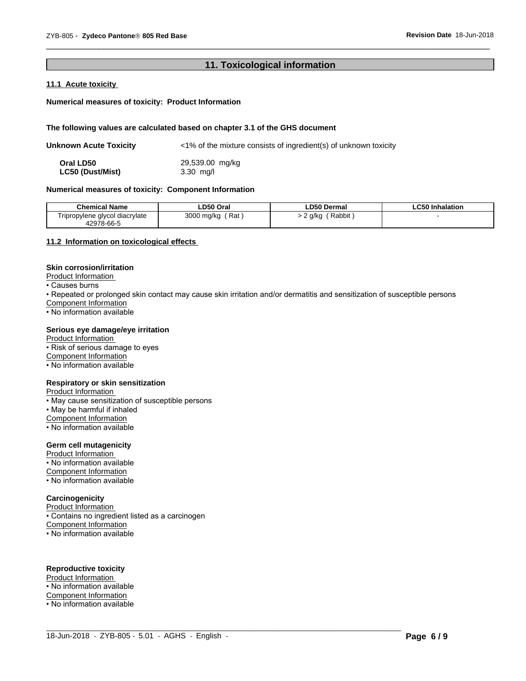#### 11. Toxicological information

#### 11.1 Acute toxicity

#### Numerical measures of toxicity: Product Information

#### The following values are calculated based on chapter 3.1 of the GHS document

| Unknown Acute Toxicity | $\langle$ -1% of the mixture consists of ingredient(s) of unknown toxicity |
|------------------------|----------------------------------------------------------------------------|
| Oral LD50              | 29,539.00 mg/kg                                                            |
| LC50 (Dust/Mist)       | $3.30$ mg/l                                                                |

#### Numerical measures of toxicity: Component Information

| <b>Chemical Name</b>            | ∟D50 Oral  | <b>LD50 Dermal</b> | <b>LC50 Inhalation</b> |
|---------------------------------|------------|--------------------|------------------------|
| I ripropylene glycol diacrylate | 3000 mg/kg | Rabbit             |                        |
| 42978-66-5                      | Rat        | g/kg               |                        |

#### 11.2 Information on toxicological effects

#### **Skin corrosion/irritation**

Product Information

• Causes burns

• Repeated or prolonged skin contact may cause skin irritation and/or dermatitis and sensitization of susceptible persons Component Information

• No information available

#### Serious eye damage/eye irritation

Product Information

• Risk of serious damage to eyes

Component Information

• No information available

#### Respiratory or skin sensitization

**Product Information** 

• May cause sensitization of susceptible persons

. May be harmful if inhaled

Component Information

• No information available

#### **Germ cell mutagenicity**

Product Information

• No information available

Component Information

• No information available

#### Carcinogenicity

Product Information

· Contains no ingredient listed as a carcinogen

Component Information

• No information available

# **Reproductive toxicity**

Product Information

• No information available

Component Information

• No information available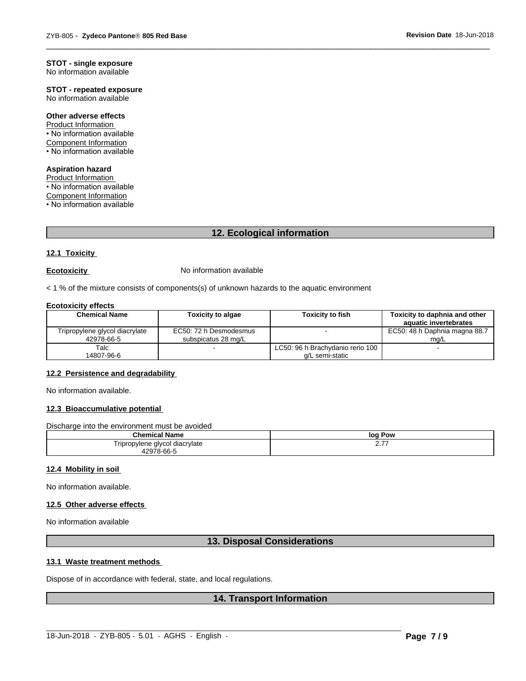# **STOT - single exposure**

No information available

# **STOT - repeated exposure**

No information available

#### Other adverse effects

Product Information • No information available **Component Information** • No information available

# **Aspiration hazard**

Product Information • No information available **Component Information** • No information available

# 12. Ecological information

#### 12.1 Toxicity

#### **Ecotoxicity**

No information available

< 1 % of the mixture consists of components(s) of unknown hazards to the aquatic environment

#### **Ecotoxicity effects**

| <b>Chemical Name</b>                         | <b>Toxicity to algae</b>                      | <b>Toxicity to fish</b>          | Toxicity to daphnia and other<br>aquatic invertebrates |
|----------------------------------------------|-----------------------------------------------|----------------------------------|--------------------------------------------------------|
| Tripropylene glycol diacrylate<br>42978-66-5 | EC50: 72 h Desmodesmus<br>subspicatus 28 mg/L |                                  | EC50: 48 h Daphnia magna 88.7<br>mg/L                  |
| Talc                                         |                                               | LC50: 96 h Brachydanio rerio 100 |                                                        |
| 14807-96-6                                   |                                               | a/L semi-static                  |                                                        |

#### 12.2 Persistence and degradability

No information available.

#### 12.3 Bioaccumulative potential

Discharge into the environment must be avoided

| - -<br>Chemical<br>Name                  | Pow<br>log       |
|------------------------------------------|------------------|
| I ripropylene glycol diacrylate<br>$  -$ | . – –<br><u></u> |
| 2978-66-5                                |                  |

#### 12.4 Mobility in soil

No information available.

#### 12.5 Other adverse effects

No information available

# 13. Disposal Considerations

#### 13.1 Waste treatment methods

Dispose of in accordance with federal, state, and local regulations.

# **14. Transport Information**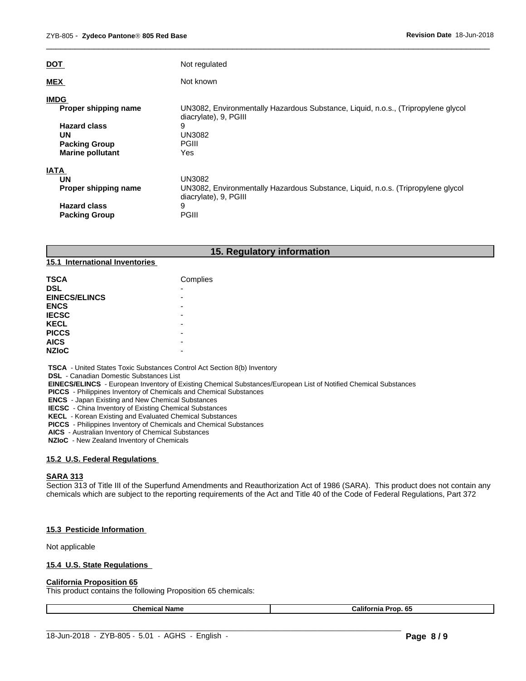| <b>DOT</b>                                                                          | Not regulated                                                                                                       |
|-------------------------------------------------------------------------------------|---------------------------------------------------------------------------------------------------------------------|
| <b>MEX</b>                                                                          | Not known                                                                                                           |
| <b>IMDG</b><br>Proper shipping name                                                 | UN3082, Environmentally Hazardous Substance, Liquid, n.o.s., (Tripropylene glycol<br>diacrylate), 9, PGIII          |
| <b>Hazard class</b><br><b>UN</b><br><b>Packing Group</b><br><b>Marine pollutant</b> | 9<br><b>UN3082</b><br>PGIII<br>Yes                                                                                  |
| <b>IATA</b>                                                                         |                                                                                                                     |
| <b>UN</b><br>Proper shipping name                                                   | UN3082<br>UN3082, Environmentally Hazardous Substance, Liquid, n.o.s. (Tripropylene glycol<br>diacrylate), 9, PGIII |
| <b>Hazard class</b><br><b>Packing Group</b>                                         | 9<br>PGIII                                                                                                          |

 $\overline{\phantom{a}}$  ,  $\overline{\phantom{a}}$  ,  $\overline{\phantom{a}}$  ,  $\overline{\phantom{a}}$  ,  $\overline{\phantom{a}}$  ,  $\overline{\phantom{a}}$  ,  $\overline{\phantom{a}}$  ,  $\overline{\phantom{a}}$  ,  $\overline{\phantom{a}}$  ,  $\overline{\phantom{a}}$  ,  $\overline{\phantom{a}}$  ,  $\overline{\phantom{a}}$  ,  $\overline{\phantom{a}}$  ,  $\overline{\phantom{a}}$  ,  $\overline{\phantom{a}}$  ,  $\overline{\phantom{a}}$ 

|                                | 15. Regulatory information |
|--------------------------------|----------------------------|
| 15.1 International Inventories |                            |
| <b>TSCA</b>                    | Complies                   |
| <b>DSL</b>                     | $\overline{\phantom{0}}$   |
| <b>EINECS/ELINCS</b>           | -                          |
| <b>ENCS</b>                    | ۰                          |
| <b>IECSC</b>                   | $\overline{\phantom{0}}$   |
| <b>KECL</b>                    | $\overline{\phantom{0}}$   |
| <b>PICCS</b>                   | -                          |
| <b>AICS</b>                    | $\overline{\phantom{0}}$   |

 **TSCA** - United States Toxic Substances Control Act Section 8(b) Inventory

 **DSL** - Canadian Domestic Substances List

 **EINECS/ELINCS** - European Inventory of Existing Chemical Substances/European List of Notified Chemical Substances

 **PICCS** - Philippines Inventory of Chemicals and Chemical Substances

 **ENCS** - Japan Existing and New Chemical Substances

 **IECSC** - China Inventory of Existing Chemical Substances

**NZIoC** -

 **KECL** - Korean Existing and Evaluated Chemical Substances

 **PICCS** - Philippines Inventory of Chemicals and Chemical Substances

 **AICS** - Australian Inventory of Chemical Substances

 **NZIoC** - New Zealand Inventory of Chemicals

#### **15.2 U.S. Federal Regulations**

#### **SARA 313**

Section 313 of Title III of the Superfund Amendments and Reauthorization Act of 1986 (SARA). This product does not contain any chemicals which are subject to the reporting requirements of the Act and Title 40 of the Code of Federal Regulations, Part 372

#### **15.3 Pesticide Information**

Not applicable

#### **15.4 U.S. State Regulations**

#### **California Proposition 65**

This product contains the following Proposition 65 chemicals:

|  |  | ali<br>к.<br>ron.<br>шс<br>ഄഄ |
|--|--|-------------------------------|
|--|--|-------------------------------|

 $\_$  ,  $\_$  ,  $\_$  ,  $\_$  ,  $\_$  ,  $\_$  ,  $\_$  ,  $\_$  ,  $\_$  ,  $\_$  ,  $\_$  ,  $\_$  ,  $\_$  ,  $\_$  ,  $\_$  ,  $\_$  ,  $\_$  ,  $\_$  ,  $\_$  ,  $\_$  ,  $\_$  ,  $\_$  ,  $\_$  ,  $\_$  ,  $\_$  ,  $\_$  ,  $\_$  ,  $\_$  ,  $\_$  ,  $\_$  ,  $\_$  ,  $\_$  ,  $\_$  ,  $\_$  ,  $\_$  ,  $\_$  ,  $\_$  ,